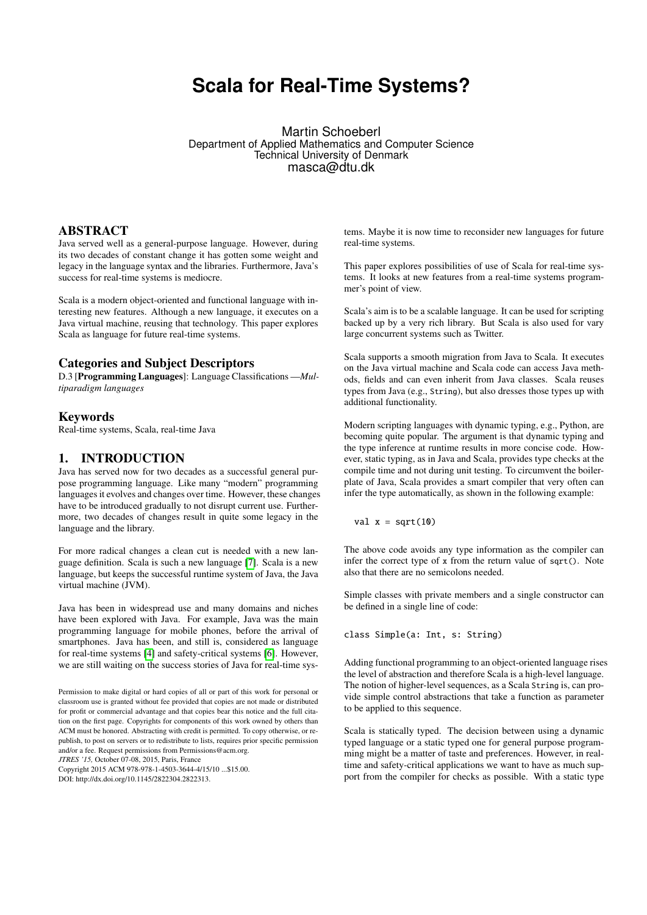# **Scala for Real-Time Systems?**

Martin Schoeberl Department of Applied Mathematics and Computer Science Technical University of Denmark masca@dtu.dk

## ABSTRACT

Java served well as a general-purpose language. However, during its two decades of constant change it has gotten some weight and legacy in the language syntax and the libraries. Furthermore, Java's success for real-time systems is mediocre.

Scala is a modern object-oriented and functional language with interesting new features. Although a new language, it executes on a Java virtual machine, reusing that technology. This paper explores Scala as language for future real-time systems.

#### Categories and Subject Descriptors

D.3 [Programming Languages]: Language Classifications —*Multiparadigm languages*

#### Keywords

Real-time systems, Scala, real-time Java

# 1. INTRODUCTION

Java has served now for two decades as a successful general purpose programming language. Like many "modern" programming languages it evolves and changes over time. However, these changes have to be introduced gradually to not disrupt current use. Furthermore, two decades of changes result in quite some legacy in the language and the library.

For more radical changes a clean cut is needed with a new language definition. Scala is such a new language [\[7\]](#page-3-0). Scala is a new language, but keeps the successful runtime system of Java, the Java virtual machine (JVM).

Java has been in widespread use and many domains and niches have been explored with Java. For example, Java was the main programming language for mobile phones, before the arrival of smartphones. Java has been, and still is, considered as language for real-time systems [\[4\]](#page-3-1) and safety-critical systems [\[6\]](#page-3-2). However, we are still waiting on the success stories of Java for real-time sys-

Permission to make digital or hard copies of all or part of this work for personal or classroom use is granted without fee provided that copies are not made or distributed for profit or commercial advantage and that copies bear this notice and the full citation on the first page. Copyrights for components of this work owned by others than ACM must be honored. Abstracting with credit is permitted. To copy otherwise, or republish, to post on servers or to redistribute to lists, requires prior specific permission and/or a fee. Request permissions from Permissions@acm.org.

*JTRES '15,* October 07-08, 2015, Paris, France

Copyright 2015 ACM 978-978-1-4503-3644-4/15/10 ...\$15.00. DOI: http://dx.doi.org/10.1145/2822304.2822313.

tems. Maybe it is now time to reconsider new languages for future real-time systems.

This paper explores possibilities of use of Scala for real-time systems. It looks at new features from a real-time systems programmer's point of view.

Scala's aim is to be a scalable language. It can be used for scripting backed up by a very rich library. But Scala is also used for vary large concurrent systems such as Twitter.

Scala supports a smooth migration from Java to Scala. It executes on the Java virtual machine and Scala code can access Java methods, fields and can even inherit from Java classes. Scala reuses types from Java (e.g., String), but also dresses those types up with additional functionality.

Modern scripting languages with dynamic typing, e.g., Python, are becoming quite popular. The argument is that dynamic typing and the type inference at runtime results in more concise code. However, static typing, as in Java and Scala, provides type checks at the compile time and not during unit testing. To circumvent the boilerplate of Java, Scala provides a smart compiler that very often can infer the type automatically, as shown in the following example:

val  $x = sqrt(10)$ 

The above code avoids any type information as the compiler can infer the correct type of x from the return value of sqrt(). Note also that there are no semicolons needed.

Simple classes with private members and a single constructor can be defined in a single line of code:

class Simple(a: Int, s: String)

Adding functional programming to an object-oriented language rises the level of abstraction and therefore Scala is a high-level language. The notion of higher-level sequences, as a Scala String is, can provide simple control abstractions that take a function as parameter to be applied to this sequence.

Scala is statically typed. The decision between using a dynamic typed language or a static typed one for general purpose programming might be a matter of taste and preferences. However, in realtime and safety-critical applications we want to have as much support from the compiler for checks as possible. With a static type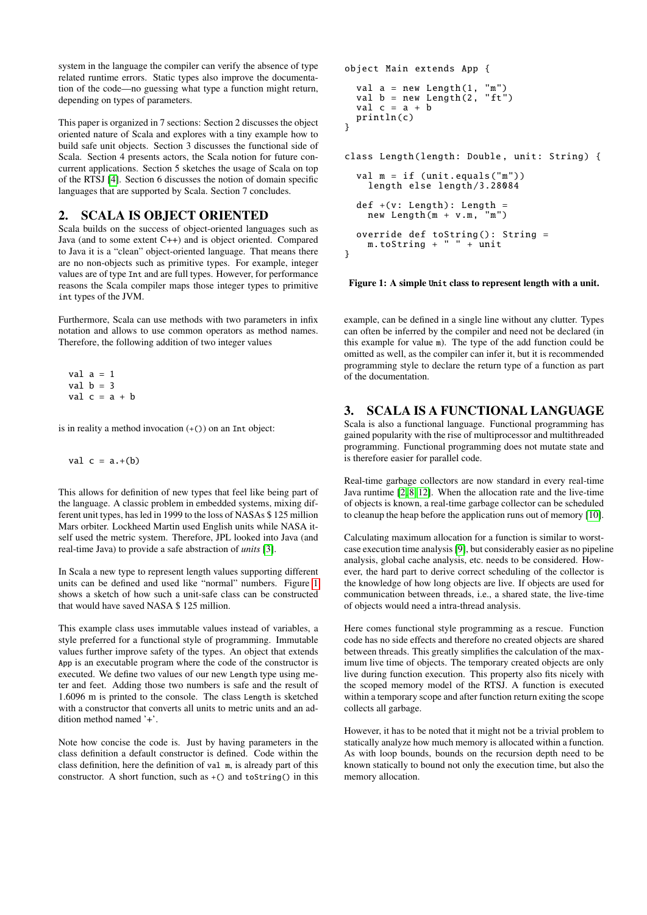system in the language the compiler can verify the absence of type related runtime errors. Static types also improve the documentation of the code—no guessing what type a function might return, depending on types of parameters.

This paper is organized in 7 sections: Section 2 discusses the object oriented nature of Scala and explores with a tiny example how to build safe unit objects. Section 3 discusses the functional side of Scala. Section 4 presents actors, the Scala notion for future concurrent applications. Section 5 sketches the usage of Scala on top of the RTSJ [\[4\]](#page-3-1). Section 6 discusses the notion of domain specific languages that are supported by Scala. Section 7 concludes.

# 2. SCALA IS OBJECT ORIENTED

Scala builds on the success of object-oriented languages such as Java (and to some extent C++) and is object oriented. Compared to Java it is a "clean" object-oriented language. That means there are no non-objects such as primitive types. For example, integer values are of type Int and are full types. However, for performance reasons the Scala compiler maps those integer types to primitive int types of the JVM.

Furthermore, Scala can use methods with two parameters in infix notation and allows to use common operators as method names. Therefore, the following addition of two integer values

val  $a = 1$ val  $b = 3$ val  $c = a + b$ 

is in reality a method invocation  $(+()$ ) on an Int object:

```
val c = a.+b
```
This allows for definition of new types that feel like being part of the language. A classic problem in embedded systems, mixing different unit types, has led in 1999 to the loss of NASAs \$ 125 million Mars orbiter. Lockheed Martin used English units while NASA itself used the metric system. Therefore, JPL looked into Java (and real-time Java) to provide a safe abstraction of *units* [\[3\]](#page-3-3).

In Scala a new type to represent length values supporting different units can be defined and used like "normal" numbers. Figure [1](#page-1-0) shows a sketch of how such a unit-safe class can be constructed that would have saved NASA \$ 125 million.

This example class uses immutable values instead of variables, a style preferred for a functional style of programming. Immutable values further improve safety of the types. An object that extends App is an executable program where the code of the constructor is executed. We define two values of our new Length type using meter and feet. Adding those two numbers is safe and the result of 1.6096 m is printed to the console. The class Length is sketched with a constructor that converts all units to metric units and an addition method named '+'.

Note how concise the code is. Just by having parameters in the class definition a default constructor is defined. Code within the class definition, here the definition of val m, is already part of this constructor. A short function, such as  $+($ ) and toString() in this

```
object Main extends App {
  val a = new Length (1, "m")
  val b = new Length (2, "ft")
 val c = a + bprintln(c)
}
class Length(length: Double , unit: String) {
  val m = if (unit.equals ("m"))
    length else length /3.28084
  def +(v: Length): Length =
   new Length(m + v.m, "m")
  override def toString (): String =
    m.toString + " " + unit
}
```
#### <span id="page-1-0"></span>Figure 1: A simple Unit class to represent length with a unit.

example, can be defined in a single line without any clutter. Types can often be inferred by the compiler and need not be declared (in this example for value m). The type of the add function could be omitted as well, as the compiler can infer it, but it is recommended programming style to declare the return type of a function as part of the documentation.

# 3. SCALA IS A FUNCTIONAL LANGUAGE

Scala is also a functional language. Functional programming has gained popularity with the rise of multiprocessor and multithreaded programming. Functional programming does not mutate state and is therefore easier for parallel code.

Real-time garbage collectors are now standard in every real-time Java runtime [\[2,](#page-3-4) [8,](#page-3-5) [12\]](#page-3-6). When the allocation rate and the live-time of objects is known, a real-time garbage collector can be scheduled to cleanup the heap before the application runs out of memory [\[10\]](#page-3-7).

Calculating maximum allocation for a function is similar to worstcase execution time analysis [\[9\]](#page-3-8), but considerably easier as no pipeline analysis, global cache analysis, etc. needs to be considered. However, the hard part to derive correct scheduling of the collector is the knowledge of how long objects are live. If objects are used for communication between threads, i.e., a shared state, the live-time of objects would need a intra-thread analysis.

Here comes functional style programming as a rescue. Function code has no side effects and therefore no created objects are shared between threads. This greatly simplifies the calculation of the maximum live time of objects. The temporary created objects are only live during function execution. This property also fits nicely with the scoped memory model of the RTSJ. A function is executed within a temporary scope and after function return exiting the scope collects all garbage.

However, it has to be noted that it might not be a trivial problem to statically analyze how much memory is allocated within a function. As with loop bounds, bounds on the recursion depth need to be known statically to bound not only the execution time, but also the memory allocation.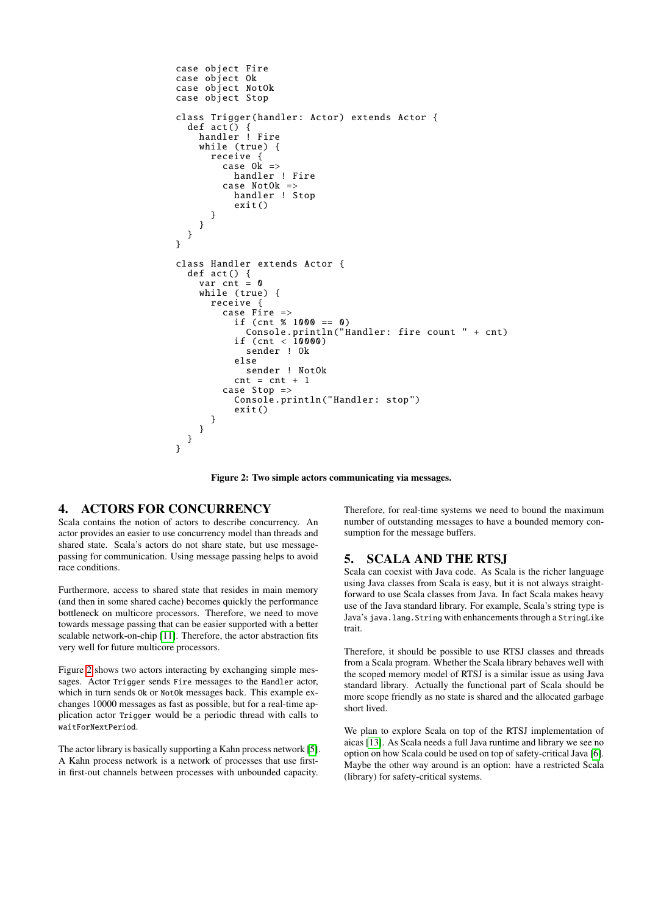```
case object Fire
case object Ok
case object NotOk
case object Stop
class Trigger(handler: Actor) extends Actor {
  def act() {
    handler ! Fire
    while (true) {
      receive {
        case 0\bar{k} =>
          handler ! Fire
        case NotOk =>
          handler ! Stop
           exit ()
      }
    }
 }
}
class Handler extends Actor {
  def act() {
    var cnt = 0while (true) {
      receive {
        case Fire =>
           if (cnt % 1000 == 0)
             Console.println (" Handler: fire count " + cnt)
           if (cnt < 10000)
             sender ! Ok
           else
             sender ! NotOk
           cnt = cnt + 1case Stop =>
           Console.println (" Handler: stop ")
           exit ()
      }
    }
 }
}
```
<span id="page-2-0"></span>Figure 2: Two simple actors communicating via messages.

#### 4. ACTORS FOR CONCURRENCY

Scala contains the notion of actors to describe concurrency. An actor provides an easier to use concurrency model than threads and shared state. Scala's actors do not share state, but use messagepassing for communication. Using message passing helps to avoid race conditions.

Furthermore, access to shared state that resides in main memory (and then in some shared cache) becomes quickly the performance bottleneck on multicore processors. Therefore, we need to move towards message passing that can be easier supported with a better scalable network-on-chip [\[11\]](#page-3-9). Therefore, the actor abstraction fits very well for future multicore processors.

Figure [2](#page-2-0) shows two actors interacting by exchanging simple messages. Actor Trigger sends Fire messages to the Handler actor, which in turn sends Ok or NotOk messages back. This example exchanges 10000 messages as fast as possible, but for a real-time application actor Trigger would be a periodic thread with calls to waitForNextPeriod.

The actor library is basically supporting a Kahn process network [\[5\]](#page-3-10). A Kahn process network is a network of processes that use firstin first-out channels between processes with unbounded capacity.

Therefore, for real-time systems we need to bound the maximum number of outstanding messages to have a bounded memory consumption for the message buffers.

#### 5. SCALA AND THE RTSJ

Scala can coexist with Java code. As Scala is the richer language using Java classes from Scala is easy, but it is not always straightforward to use Scala classes from Java. In fact Scala makes heavy use of the Java standard library. For example, Scala's string type is Java's java.lang.String with enhancements through a StringLike trait.

Therefore, it should be possible to use RTSJ classes and threads from a Scala program. Whether the Scala library behaves well with the scoped memory model of RTSJ is a similar issue as using Java standard library. Actually the functional part of Scala should be more scope friendly as no state is shared and the allocated garbage short lived.

We plan to explore Scala on top of the RTSJ implementation of aicas [\[13\]](#page-4-0). As Scala needs a full Java runtime and library we see no option on how Scala could be used on top of safety-critical Java [\[6\]](#page-3-2). Maybe the other way around is an option: have a restricted Scala (library) for safety-critical systems.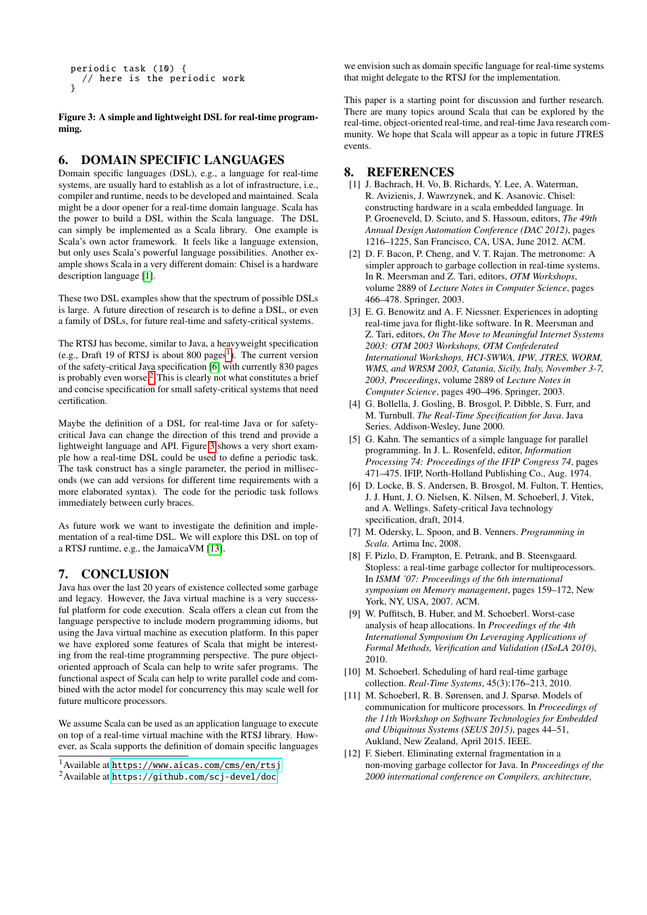```
periodic task (10) {
  // here is the periodic work
}
```
<span id="page-3-14"></span>Figure 3: A simple and lightweight DSL for real-time programming.

# 6. DOMAIN SPECIFIC LANGUAGES

Domain specific languages (DSL), e.g., a language for real-time systems, are usually hard to establish as a lot of infrastructure, i.e., compiler and runtime, needs to be developed and maintained. Scala might be a door opener for a real-time domain language. Scala has the power to build a DSL within the Scala language. The DSL can simply be implemented as a Scala library. One example is Scala's own actor framework. It feels like a language extension, but only uses Scala's powerful language possibilities. Another example shows Scala in a very different domain: Chisel is a hardware description language [\[1\]](#page-3-11).

These two DSL examples show that the spectrum of possible DSLs is large. A future direction of research is to define a DSL, or even a family of DSLs, for future real-time and safety-critical systems.

The RTSJ has become, similar to Java, a heavyweight specification (e.g., Draft [1](#page-3-12)9 of RTSJ is about 800 pages<sup>1</sup>). The current version of the safety-critical Java specification [\[6\]](#page-3-2) with currently 830 pages is probably even worse.<sup>[2](#page-3-13)</sup> This is clearly not what constitutes a brief and concise specification for small safety-critical systems that need certification.

Maybe the definition of a DSL for real-time Java or for safetycritical Java can change the direction of this trend and provide a lightweight language and API. Figure [3](#page-3-14) shows a very short example how a real-time DSL could be used to define a periodic task. The task construct has a single parameter, the period in milliseconds (we can add versions for different time requirements with a more elaborated syntax). The code for the periodic task follows immediately between curly braces.

As future work we want to investigate the definition and implementation of a real-time DSL. We will explore this DSL on top of a RTSJ runtime, e.g., the JamaicaVM [\[13\]](#page-4-0).

# 7. CONCLUSION

Java has over the last 20 years of existence collected some garbage and legacy. However, the Java virtual machine is a very successful platform for code execution. Scala offers a clean cut from the language perspective to include modern programming idioms, but using the Java virtual machine as execution platform. In this paper we have explored some features of Scala that might be interesting from the real-time programming perspective. The pure objectoriented approach of Scala can help to write safer programs. The functional aspect of Scala can help to write parallel code and combined with the actor model for concurrency this may scale well for future multicore processors.

We assume Scala can be used as an application language to execute on top of a real-time virtual machine with the RTSJ library. However, as Scala supports the definition of domain specific languages

we envision such as domain specific language for real-time systems that might delegate to the RTSJ for the implementation.

This paper is a starting point for discussion and further research. There are many topics around Scala that can be explored by the real-time, object-oriented real-time, and real-time Java research community. We hope that Scala will appear as a topic in future JTRES events.

## 8. REFERENCES

- <span id="page-3-11"></span>[1] J. Bachrach, H. Vo, B. Richards, Y. Lee, A. Waterman, R. Avizienis, J. Wawrzynek, and K. Asanovic. Chisel: constructing hardware in a scala embedded language. In P. Groeneveld, D. Sciuto, and S. Hassoun, editors, *The 49th Annual Design Automation Conference (DAC 2012)*, pages 1216–1225, San Francisco, CA, USA, June 2012. ACM.
- <span id="page-3-4"></span>[2] D. F. Bacon, P. Cheng, and V. T. Rajan. The metronome: A simpler approach to garbage collection in real-time systems. In R. Meersman and Z. Tari, editors, *OTM Workshops*, volume 2889 of *Lecture Notes in Computer Science*, pages 466–478. Springer, 2003.
- <span id="page-3-3"></span>[3] E. G. Benowitz and A. F. Niessner. Experiences in adopting real-time java for flight-like software. In R. Meersman and Z. Tari, editors, *On The Move to Meaningful Internet Systems 2003: OTM 2003 Workshops, OTM Confederated International Workshops, HCI-SWWA, IPW, JTRES, WORM, WMS, and WRSM 2003, Catania, Sicily, Italy, November 3-7, 2003, Proceedings*, volume 2889 of *Lecture Notes in Computer Science*, pages 490–496. Springer, 2003.
- <span id="page-3-1"></span>[4] G. Bollella, J. Gosling, B. Brosgol, P. Dibble, S. Furr, and M. Turnbull. *The Real-Time Specification for Java*. Java Series. Addison-Wesley, June 2000.
- <span id="page-3-10"></span>[5] G. Kahn. The semantics of a simple language for parallel programming. In J. L. Rosenfeld, editor, *Information Processing 74: Proceedings of the IFIP Congress 74*, pages 471–475. IFIP, North-Holland Publishing Co., Aug. 1974.
- <span id="page-3-2"></span>[6] D. Locke, B. S. Andersen, B. Brosgol, M. Fulton, T. Henties, J. J. Hunt, J. O. Nielsen, K. Nilsen, M. Schoeberl, J. Vitek, and A. Wellings. Safety-critical Java technology specification, draft, 2014.
- <span id="page-3-0"></span>[7] M. Odersky, L. Spoon, and B. Venners. *Programming in Scala*. Artima Inc, 2008.
- <span id="page-3-5"></span>[8] F. Pizlo, D. Frampton, E. Petrank, and B. Steensgaard. Stopless: a real-time garbage collector for multiprocessors. In *ISMM '07: Proceedings of the 6th international symposium on Memory management*, pages 159–172, New York, NY, USA, 2007. ACM.
- <span id="page-3-8"></span>[9] W. Puffitsch, B. Huber, and M. Schoeberl. Worst-case analysis of heap allocations. In *Proceedings of the 4th International Symposium On Leveraging Applications of Formal Methods, Verification and Validation (ISoLA 2010)*, 2010.
- <span id="page-3-7"></span>[10] M. Schoeberl. Scheduling of hard real-time garbage collection. *Real-Time Systems*, 45(3):176–213, 2010.
- <span id="page-3-9"></span>[11] M. Schoeberl, R. B. Sørensen, and J. Sparsø. Models of communication for multicore processors. In *Proceedings of the 11th Workshop on Software Technologies for Embedded and Ubiquitous Systems (SEUS 2015)*, pages 44–51, Aukland, New Zealand, April 2015. IEEE.
- <span id="page-3-6"></span>[12] F. Siebert. Eliminating external fragmentation in a non-moving garbage collector for Java. In *Proceedings of the 2000 international conference on Compilers, architecture,*

<span id="page-3-12"></span><sup>1</sup>Available at <https://www.aicas.com/cms/en/rtsj>

<span id="page-3-13"></span><sup>2</sup>Available at <https://github.com/scj-devel/doc>